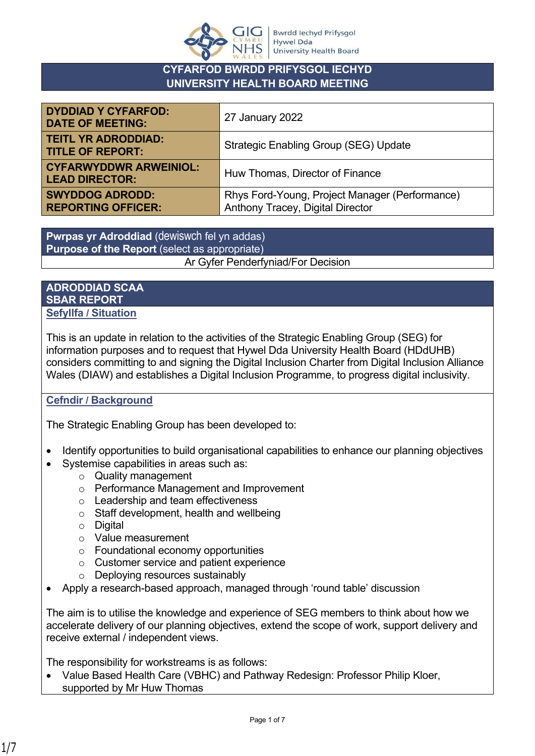

### **CYFARFOD BWRDD PRIFYSGOL IECHYD UNIVERSITY HEALTH BOARD MEETING**

| <b>DYDDIAD Y CYFARFOD:</b><br><b>DATE OF MEETING:</b>  | 27 January 2022                                                                    |
|--------------------------------------------------------|------------------------------------------------------------------------------------|
| <b>TEITL YR ADRODDIAD:</b><br><b>TITLE OF REPORT:</b>  | <b>Strategic Enabling Group (SEG) Update</b>                                       |
| <b>CYFARWYDDWR ARWEINIOL:</b><br><b>LEAD DIRECTOR:</b> | Huw Thomas, Director of Finance                                                    |
| <b>SWYDDOG ADRODD:</b><br><b>REPORTING OFFICER:</b>    | Rhys Ford-Young, Project Manager (Performance)<br>Anthony Tracey, Digital Director |

**Pwrpas yr Adroddiad** (dewiswch fel yn addas) **Purpose of the Report** (select as appropriate) Ar Gyfer Penderfyniad/For Decision

#### **ADRODDIAD SCAA SBAR REPORT Sefyllfa / Situation**

This is an update in relation to the activities of the Strategic Enabling Group (SEG) for information purposes and to request that Hywel Dda University Health Board (HDdUHB) considers committing to and signing the Digital Inclusion Charter from Digital Inclusion Alliance Wales (DIAW) and establishes a Digital Inclusion Programme, to progress digital inclusivity.

### **Cefndir / Background**

The Strategic Enabling Group has been developed to:

- Identify opportunities to build organisational capabilities to enhance our planning objectives
- Systemise capabilities in areas such as:
	- o Quality management
	- o Performance Management and Improvement
	- o Leadership and team effectiveness
	- o Staff development, health and wellbeing
	- o Digital
	- o Value measurement
	- o Foundational economy opportunities
	- o Customer service and patient experience
	- o Deploying resources sustainably
- Apply a research-based approach, managed through 'round table' discussion

The aim is to utilise the knowledge and experience of SEG members to think about how we accelerate delivery of our planning objectives, extend the scope of work, support delivery and receive external / independent views.

The responsibility for workstreams is as follows:

 Value Based Health Care (VBHC) and Pathway Redesign: Professor Philip Kloer, supported by Mr Huw Thomas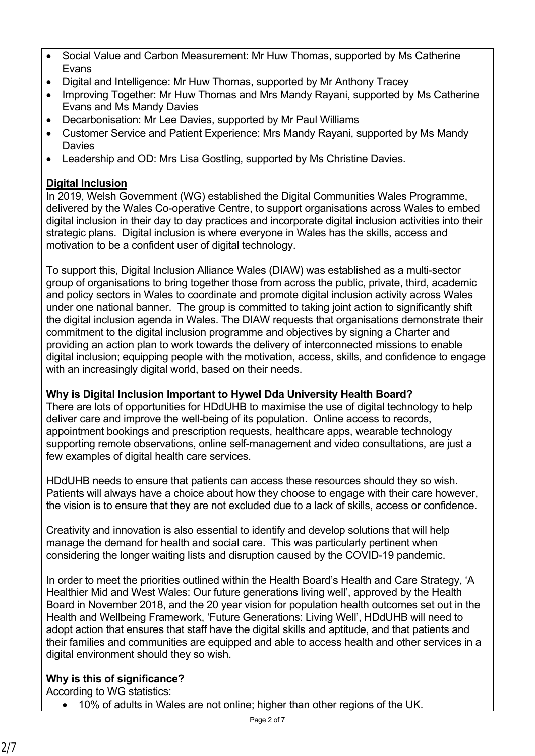- Social Value and Carbon Measurement: Mr Huw Thomas, supported by Ms Catherine Evans
- Digital and Intelligence: Mr Huw Thomas, supported by Mr Anthony Tracey
- Improving Together: Mr Huw Thomas and Mrs Mandy Rayani, supported by Ms Catherine Evans and Ms Mandy Davies
- Decarbonisation: Mr Lee Davies, supported by Mr Paul Williams
- Customer Service and Patient Experience: Mrs Mandy Rayani, supported by Ms Mandy Davies
- Leadership and OD: Mrs Lisa Gostling, supported by Ms Christine Davies.

### **Digital Inclusion**

In 2019, Welsh Government (WG) established the Digital Communities Wales Programme, delivered by the Wales Co-operative Centre, to support organisations across Wales to embed digital inclusion in their day to day practices and incorporate digital inclusion activities into their strategic plans. Digital inclusion is where everyone in Wales has the skills, access and motivation to be a confident user of digital technology.

To support this, Digital Inclusion Alliance Wales (DIAW) was established as a multi-sector group of organisations to bring together those from across the public, private, third, academic and policy sectors in Wales to coordinate and promote digital inclusion activity across Wales under one national banner. The group is committed to taking joint action to significantly shift the digital inclusion agenda in Wales. The DIAW requests that organisations demonstrate their commitment to the digital inclusion programme and objectives by signing a Charter and providing an action plan to work towards the delivery of interconnected missions to enable digital inclusion; equipping people with the motivation, access, skills, and confidence to engage with an increasingly digital world, based on their needs.

### **Why is Digital Inclusion Important to Hywel Dda University Health Board?**

There are lots of opportunities for HDdUHB to maximise the use of digital technology to help deliver care and improve the well-being of its population. Online access to records, appointment bookings and prescription requests, healthcare apps, wearable technology supporting remote observations, online self-management and video consultations, are just a few examples of digital health care services.

HDdUHB needs to ensure that patients can access these resources should they so wish. Patients will always have a choice about how they choose to engage with their care however, the vision is to ensure that they are not excluded due to a lack of skills, access or confidence.

Creativity and innovation is also essential to identify and develop solutions that will help manage the demand for health and social care. This was particularly pertinent when considering the longer waiting lists and disruption caused by the COVID-19 pandemic.

In order to meet the priorities outlined within the Health Board's Health and Care Strategy, 'A Healthier Mid and West Wales: Our future generations living well', approved by the Health Board in November 2018, and the 20 year vision for population health outcomes set out in the Health and Wellbeing Framework, 'Future Generations: Living Well', HDdUHB will need to adopt action that ensures that staff have the digital skills and aptitude, and that patients and their families and communities are equipped and able to access health and other services in a digital environment should they so wish.

# **Why is this of significance?**

According to WG statistics:

10% of adults in Wales are not online; higher than other regions of the UK.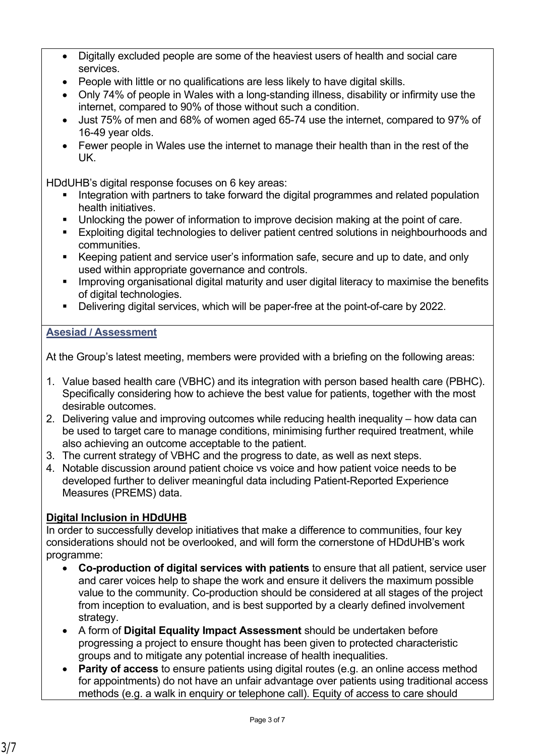- Digitally excluded people are some of the heaviest users of health and social care services.
- People with little or no qualifications are less likely to have digital skills.
- Only 74% of people in Wales with a long-standing illness, disability or infirmity use the internet, compared to 90% of those without such a condition.
- Just 75% of men and 68% of women aged 65-74 use the internet, compared to 97% of 16-49 year olds.
- Fewer people in Wales use the internet to manage their health than in the rest of the UK.

HDdUHB's digital response focuses on 6 key areas:

- Integration with partners to take forward the digital programmes and related population health initiatives.
- **Unlocking the power of information to improve decision making at the point of care.**
- Exploiting digital technologies to deliver patient centred solutions in neighbourhoods and communities.
- Keeping patient and service user's information safe, secure and up to date, and only used within appropriate governance and controls.
- **IMP** Improving organisational digital maturity and user digital literacy to maximise the benefits of digital technologies.
- Delivering digital services, which will be paper-free at the point-of-care by 2022.

#### **Asesiad / Assessment**

At the Group's latest meeting, members were provided with a briefing on the following areas:

- 1. Value based health care (VBHC) and its integration with person based health care (PBHC). Specifically considering how to achieve the best value for patients, together with the most desirable outcomes.
- 2. Delivering value and improving outcomes while reducing health inequality how data can be used to target care to manage conditions, minimising further required treatment, while also achieving an outcome acceptable to the patient.
- 3. The current strategy of VBHC and the progress to date, as well as next steps.
- 4. Notable discussion around patient choice vs voice and how patient voice needs to be developed further to deliver meaningful data including Patient-Reported Experience Measures (PREMS) data.

### **Digital Inclusion in HDdUHB**

In order to successfully develop initiatives that make a difference to communities, four key considerations should not be overlooked, and will form the cornerstone of HDdUHB's work programme:

- **Co-production of digital services with patients** to ensure that all patient, service user and carer voices help to shape the work and ensure it delivers the maximum possible value to the community. Co-production should be considered at all stages of the project from inception to evaluation, and is best supported by a clearly defined [involvement](https://arc-sl.nihr.ac.uk/news-insights/latest-news/nihr-arc-south-london-launches-involvement-strategy)  [strategy.](https://arc-sl.nihr.ac.uk/news-insights/latest-news/nihr-arc-south-london-launches-involvement-strategy)
- A form of **Digital Equality Impact Assessment** should be undertaken before progressing a project to ensure thought has been given to protected characteristic groups and to mitigate any potential increase of health inequalities.
- **Parity of access** to ensure patients using digital routes (e.g. an online access method for appointments) do not have an unfair advantage over patients using traditional access methods (e.g. a walk in enquiry or telephone call). Equity of access to care should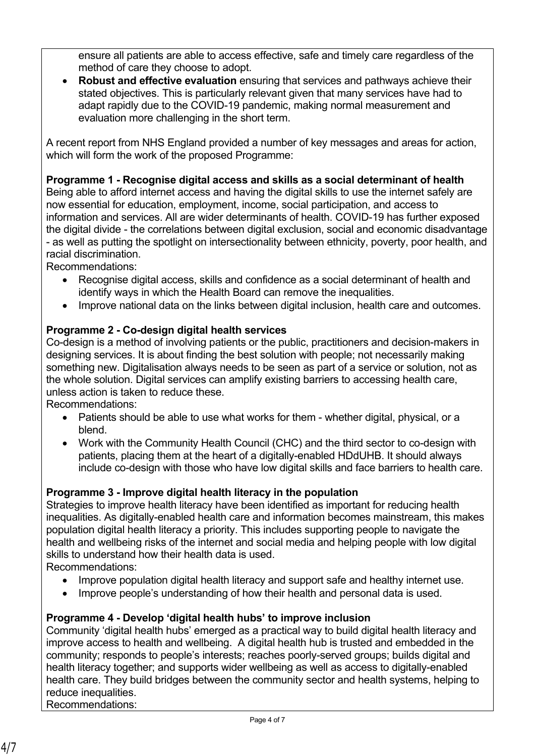ensure all patients are able to access effective, safe and timely care regardless of the method of care they choose to adopt.

 **Robust and effective evaluation** ensuring that services and pathways achieve their stated objectives. This is particularly relevant given that many services have had to adapt rapidly due to the COVID-19 pandemic, making normal measurement and evaluation more challenging in the short term.

A recent report from NHS England provided a number of key messages and areas for action, which will form the work of the proposed Programme:

# **Programme 1 - Recognise digital access and skills as a social determinant of health**

Being able to afford internet access and having the digital skills to use the internet safely are now essential for education, employment, income, social participation, and access to information and services. All are wider determinants of health. COVID-19 has further exposed the digital divide - the correlations between digital exclusion, social and economic disadvantage - as well as putting the spotlight on intersectionality between ethnicity, poverty, poor health, and racial discrimination.

Recommendations:

- Recognise digital access, skills and confidence as a social determinant of health and identify ways in which the Health Board can remove the inequalities.
- Improve national data on the links between digital inclusion, health care and outcomes.

# **Programme 2 - Co-design digital health services**

Co-design is a method of involving patients or the public, practitioners and decision-makers in designing services. It is about finding the best solution with people; not necessarily making something new. Digitalisation always needs to be seen as part of a service or solution, not as the whole solution. Digital services can amplify existing barriers to accessing health care, unless action is taken to reduce these.

Recommendations:

- Patients should be able to use what works for them whether digital, physical, or a blend.
- Work with the Community Health Council (CHC) and the third sector to co-design with patients, placing them at the heart of a digitally-enabled HDdUHB. It should always include co-design with those who have low digital skills and face barriers to health care.

# **Programme 3 - Improve digital health literacy in the population**

Strategies to improve health literacy have been identified as important for reducing health inequalities. As digitally-enabled health care and information becomes mainstream, this makes population digital health literacy a priority. This includes supporting people to navigate the health and wellbeing risks of the internet and social media and helping people with low digital skills to understand how their health data is used.

Recommendations:

- Improve population digital health literacy and support safe and healthy internet use.
- Improve people's understanding of how their health and personal data is used.

### **Programme 4 - Develop 'digital health hubs' to improve inclusion**

Community 'digital health hubs' emerged as a practical way to build digital health literacy and improve access to health and wellbeing. A digital health hub is trusted and embedded in the community; responds to people's interests; reaches poorly-served groups; builds digital and health literacy together; and supports wider wellbeing as well as access to digitally-enabled health care. They build bridges between the community sector and health systems, helping to reduce inequalities. Recommendations: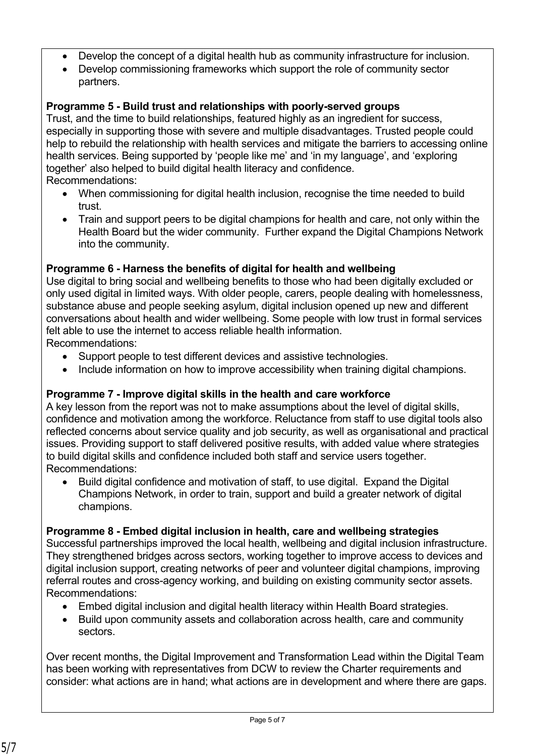- Develop the concept of a digital health hub as community infrastructure for inclusion.
- Develop commissioning frameworks which support the role of community sector partners.

# **Programme 5 - Build trust and relationships with poorly-served groups**

Trust, and the time to build relationships, featured highly as an ingredient for success, especially in supporting those with severe and multiple disadvantages. Trusted people could help to rebuild the relationship with health services and mitigate the barriers to accessing online health services. Being supported by 'people like me' and 'in my language', and 'exploring together' also helped to build digital health literacy and confidence. Recommendations:

- When commissioning for digital health inclusion, recognise the time needed to build trust.
- Train and support peers to be digital champions for health and care, not only within the Health Board but the wider community. Further expand the Digital Champions Network into the community.

### **Programme 6 - Harness the benefits of digital for health and wellbeing**

Use digital to bring social and wellbeing benefits to those who had been digitally excluded or only used digital in limited ways. With older people, carers, people dealing with homelessness, substance abuse and people seeking asylum, digital inclusion opened up new and different conversations about health and wider wellbeing. Some people with low trust in formal services felt able to use the internet to access reliable health information. Recommendations:

- Support people to test different devices and assistive technologies.
- Include information on how to improve accessibility when training digital champions.

# **Programme 7 - Improve digital skills in the health and care workforce**

A key lesson from the report was not to make assumptions about the level of digital skills, confidence and motivation among the workforce. Reluctance from staff to use digital tools also reflected concerns about service quality and job security, as well as organisational and practical issues. Providing support to staff delivered positive results, with added value where strategies to build digital skills and confidence included both staff and service users together. Recommendations:

 Build digital confidence and motivation of staff, to use digital. Expand the Digital Champions Network, in order to train, support and build a greater network of digital champions.

### **Programme 8 - Embed digital inclusion in health, care and wellbeing strategies**

Successful partnerships improved the local health, wellbeing and digital inclusion infrastructure. They strengthened bridges across sectors, working together to improve access to devices and digital inclusion support, creating networks of peer and volunteer digital champions, improving referral routes and cross-agency working, and building on existing community sector assets. Recommendations:

- Embed digital inclusion and digital health literacy within Health Board strategies.
- Build upon community assets and collaboration across health, care and community sectors.

Over recent months, the Digital Improvement and Transformation Lead within the Digital Team has been working with representatives from DCW to review the Charter requirements and consider: what actions are in hand; what actions are in development and where there are gaps.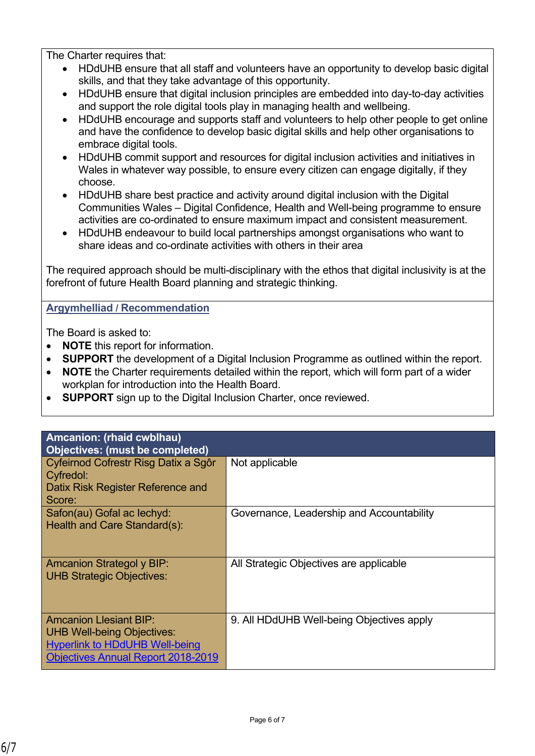The Charter requires that:

- HDdUHB ensure that all staff and volunteers have an opportunity to develop basic digital skills, and that they take advantage of this opportunity.
- HDdUHB ensure that digital inclusion principles are embedded into day-to-day activities and support the role digital tools play in managing health and wellbeing.
- HDdUHB encourage and supports staff and volunteers to help other people to get online and have the confidence to develop basic digital skills and help other organisations to embrace digital tools.
- HDdUHB commit support and resources for digital inclusion activities and initiatives in Wales in whatever way possible, to ensure every citizen can engage digitally, if they choose.
- HDdUHB share best practice and activity around digital inclusion with the Digital Communities Wales – Digital Confidence, Health and Well-being programme to ensure activities are co-ordinated to ensure maximum impact and consistent measurement.
- HDdUHB endeavour to build local partnerships amongst organisations who want to share ideas and co-ordinate activities with others in their area

The required approach should be multi-disciplinary with the ethos that digital inclusivity is at the forefront of future Health Board planning and strategic thinking.

#### **Argymhelliad / Recommendation**

The Board is asked to:

- **NOTE** this report for information.
- **SUPPORT** the development of a Digital Inclusion Programme as outlined within the report.
- **NOTE** the Charter requirements detailed within the report, which will form part of a wider workplan for introduction into the Health Board.
- **SUPPORT** sign up to the Digital Inclusion Charter, once reviewed.

| <b>Amcanion: (rhaid cwblhau)</b>                                                                                                                         |                                           |  |
|----------------------------------------------------------------------------------------------------------------------------------------------------------|-------------------------------------------|--|
| Objectives: (must be completed)                                                                                                                          |                                           |  |
| Cyfeirnod Cofrestr Risg Datix a Sgôr<br>Cyfredol:                                                                                                        | Not applicable                            |  |
| Datix Risk Register Reference and<br>Score:                                                                                                              |                                           |  |
| Safon(au) Gofal ac lechyd:<br>Health and Care Standard(s):                                                                                               | Governance, Leadership and Accountability |  |
| <b>Amcanion Strategol y BIP:</b><br><b>UHB Strategic Objectives:</b>                                                                                     | All Strategic Objectives are applicable   |  |
| <b>Amcanion Llesiant BIP:</b><br><b>UHB Well-being Objectives:</b><br><b>Hyperlink to HDdUHB Well-being</b><br><b>Objectives Annual Report 2018-2019</b> | 9. All HDdUHB Well-being Objectives apply |  |